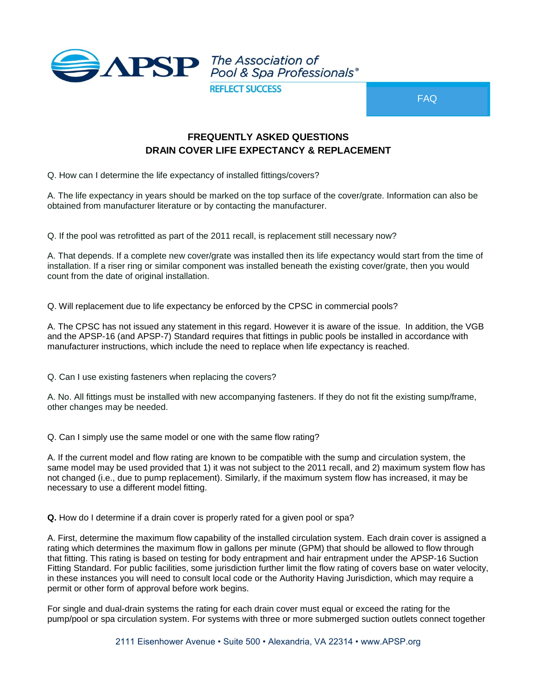

FAQ

## **FREQUENTLY ASKED QUESTIONS DRAIN COVER LIFE EXPECTANCY & REPLACEMENT**

Q. How can I determine the life expectancy of installed fittings/covers?

A. The life expectancy in years should be marked on the top surface of the cover/grate. Information can also be obtained from manufacturer literature or by contacting the manufacturer.

Q. If the pool was retrofitted as part of the 2011 recall, is replacement still necessary now?

A. That depends. If a complete new cover/grate was installed then its life expectancy would start from the time of installation. If a riser ring or similar component was installed beneath the existing cover/grate, then you would count from the date of original installation.

Q. Will replacement due to life expectancy be enforced by the CPSC in commercial pools?

A. The CPSC has not issued any statement in this regard. However it is aware of the issue. In addition, the VGB and the APSP-16 (and APSP-7) Standard requires that fittings in public pools be installed in accordance with manufacturer instructions, which include the need to replace when life expectancy is reached.

Q. Can I use existing fasteners when replacing the covers?

A. No. All fittings must be installed with new accompanying fasteners. If they do not fit the existing sump/frame, other changes may be needed.

Q. Can I simply use the same model or one with the same flow rating?

A. If the current model and flow rating are known to be compatible with the sump and circulation system, the same model may be used provided that 1) it was not subject to the 2011 recall, and 2) maximum system flow has not changed (i.e., due to pump replacement). Similarly, if the maximum system flow has increased, it may be necessary to use a different model fitting.

**Q.** How do I determine if a drain cover is properly rated for a given pool or spa?

A. First, determine the maximum flow capability of the installed circulation system. Each drain cover is assigned a rating which determines the maximum flow in gallons per minute (GPM) that should be allowed to flow through that fitting. This rating is based on testing for body entrapment and hair entrapment under the APSP-16 Suction Fitting Standard. For public facilities, some jurisdiction further limit the flow rating of covers base on water velocity, in these instances you will need to consult local code or the Authority Having Jurisdiction, which may require a permit or other form of approval before work begins.

For single and dual-drain systems the rating for each drain cover must equal or exceed the rating for the pump/pool or spa circulation system. For systems with three or more submerged suction outlets connect together